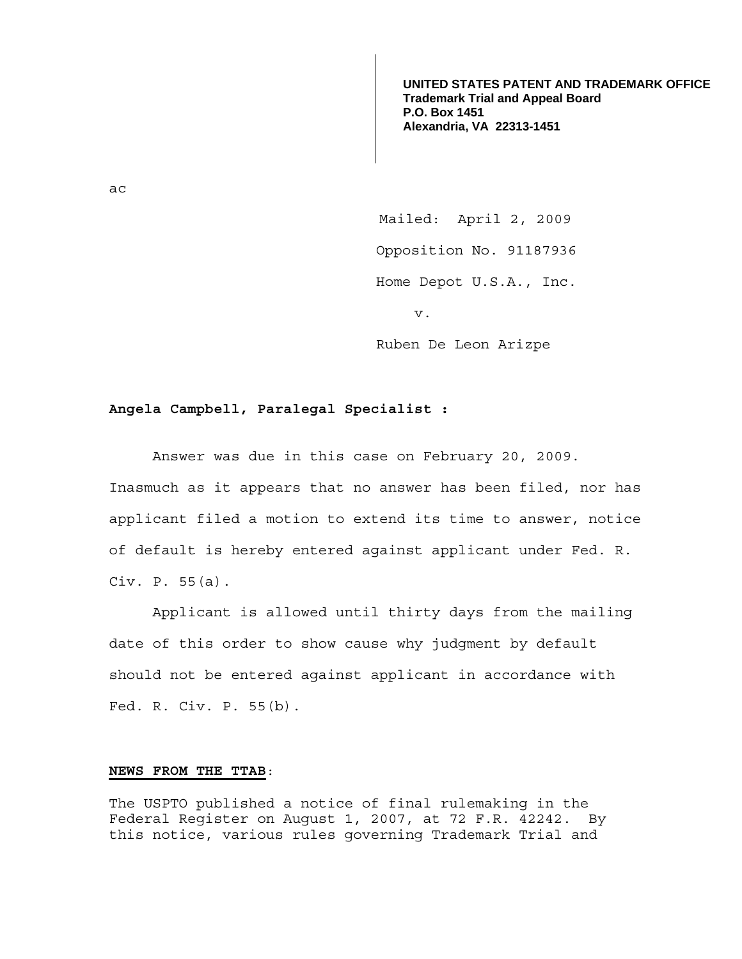**UNITED STATES PATENT AND TRADEMARK OFFICE Trademark Trial and Appeal Board P.O. Box 1451 Alexandria, VA 22313-1451**

ac

 Mailed: April 2, 2009 Opposition No. 91187936 Home Depot U.S.A., Inc. v.

Ruben De Leon Arizpe

## **Angela Campbell, Paralegal Specialist :**

 Answer was due in this case on February 20, 2009. Inasmuch as it appears that no answer has been filed, nor has applicant filed a motion to extend its time to answer, notice of default is hereby entered against applicant under Fed. R. Civ. P. 55(a).

 Applicant is allowed until thirty days from the mailing date of this order to show cause why judgment by default should not be entered against applicant in accordance with Fed. R. Civ. P. 55(b).

## **NEWS FROM THE TTAB**:

The USPTO published a notice of final rulemaking in the Federal Register on August 1, 2007, at 72 F.R. 42242. By this notice, various rules governing Trademark Trial and